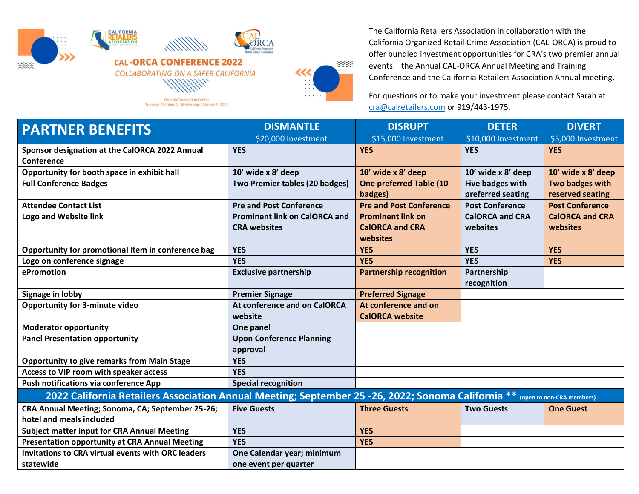

Tuesday, October 4 - Wednesday, October 5, 2022



The California Retailers Association in collaboration with the California Organized Retail Crime Association (CAL-ORCA) is proud to offer bundled investment opportunities for CRA's two premier annual events – the Annual CAL-ORCA Annual Meeting and Training Conference and the California Retailers Association Annual meeting.

For questions or to make your investment please contact Sarah at [cra@calretailers.com](mailto:cra@calretailers.com) or 919/443-1975.

| <b>PARTNER BENEFITS</b>                                                                                                      | <b>DISMANTLE</b>                     | <b>DISRUPT</b>                 | <b>DETER</b>           | <b>DIVERT</b>          |  |
|------------------------------------------------------------------------------------------------------------------------------|--------------------------------------|--------------------------------|------------------------|------------------------|--|
|                                                                                                                              | \$20,000 Investment                  | \$15,000 Investment            | \$10,000 Investment    | \$5,000 Investment     |  |
| Sponsor designation at the CalORCA 2022 Annual                                                                               | <b>YES</b>                           | <b>YES</b>                     | <b>YES</b>             | <b>YES</b>             |  |
| Conference                                                                                                                   |                                      |                                |                        |                        |  |
| Opportunity for booth space in exhibit hall                                                                                  | 10' wide x 8' deep                   | 10' wide x 8' deep             | 10' wide x 8' deep     | 10' wide x 8' deep     |  |
| <b>Full Conference Badges</b>                                                                                                | Two Premier tables (20 badges)       | <b>One preferred Table (10</b> | Five badges with       | Two badges with        |  |
|                                                                                                                              |                                      | badges)                        | preferred seating      | reserved seating       |  |
| <b>Attendee Contact List</b>                                                                                                 | <b>Pre and Post Conference</b>       | <b>Pre and Post Conference</b> | <b>Post Conference</b> | <b>Post Conference</b> |  |
| <b>Logo and Website link</b>                                                                                                 | <b>Prominent link on CalORCA and</b> | <b>Prominent link on</b>       | <b>CalORCA and CRA</b> | <b>CalORCA and CRA</b> |  |
|                                                                                                                              | <b>CRA</b> websites                  | <b>CalORCA and CRA</b>         | websites               | websites               |  |
|                                                                                                                              |                                      | websites                       |                        |                        |  |
| Opportunity for promotional item in conference bag                                                                           | <b>YES</b>                           | <b>YES</b>                     | <b>YES</b>             | <b>YES</b>             |  |
| Logo on conference signage                                                                                                   | <b>YES</b>                           | <b>YES</b>                     | <b>YES</b>             | <b>YES</b>             |  |
| ePromotion                                                                                                                   | <b>Exclusive partnership</b>         | <b>Partnership recognition</b> | Partnership            |                        |  |
|                                                                                                                              |                                      |                                | recognition            |                        |  |
| <b>Signage in lobby</b>                                                                                                      | <b>Premier Signage</b>               | <b>Preferred Signage</b>       |                        |                        |  |
| <b>Opportunity for 3-minute video</b>                                                                                        | At conference and on CalORCA         | At conference and on           |                        |                        |  |
|                                                                                                                              | website                              | <b>CalORCA website</b>         |                        |                        |  |
| <b>Moderator opportunity</b>                                                                                                 | One panel                            |                                |                        |                        |  |
| <b>Panel Presentation opportunity</b>                                                                                        | <b>Upon Conference Planning</b>      |                                |                        |                        |  |
|                                                                                                                              | approval                             |                                |                        |                        |  |
| <b>Opportunity to give remarks from Main Stage</b>                                                                           | <b>YES</b>                           |                                |                        |                        |  |
| Access to VIP room with speaker access                                                                                       | <b>YES</b>                           |                                |                        |                        |  |
| Push notifications via conference App                                                                                        | <b>Special recognition</b>           |                                |                        |                        |  |
| 2022 California Retailers Association Annual Meeting; September 25 -26, 2022; Sonoma California ** (open to non-CRA members) |                                      |                                |                        |                        |  |
| CRA Annual Meeting; Sonoma, CA; September 25-26;                                                                             | <b>Five Guests</b>                   | <b>Three Guests</b>            | <b>Two Guests</b>      | <b>One Guest</b>       |  |
| hotel and meals included                                                                                                     |                                      |                                |                        |                        |  |
| <b>Subject matter input for CRA Annual Meeting</b>                                                                           | <b>YES</b>                           | <b>YES</b>                     |                        |                        |  |
| <b>Presentation opportunity at CRA Annual Meeting</b>                                                                        | <b>YES</b>                           | <b>YES</b>                     |                        |                        |  |
| <b>Invitations to CRA virtual events with ORC leaders</b>                                                                    | One Calendar year; minimum           |                                |                        |                        |  |
| statewide                                                                                                                    | one event per quarter                |                                |                        |                        |  |